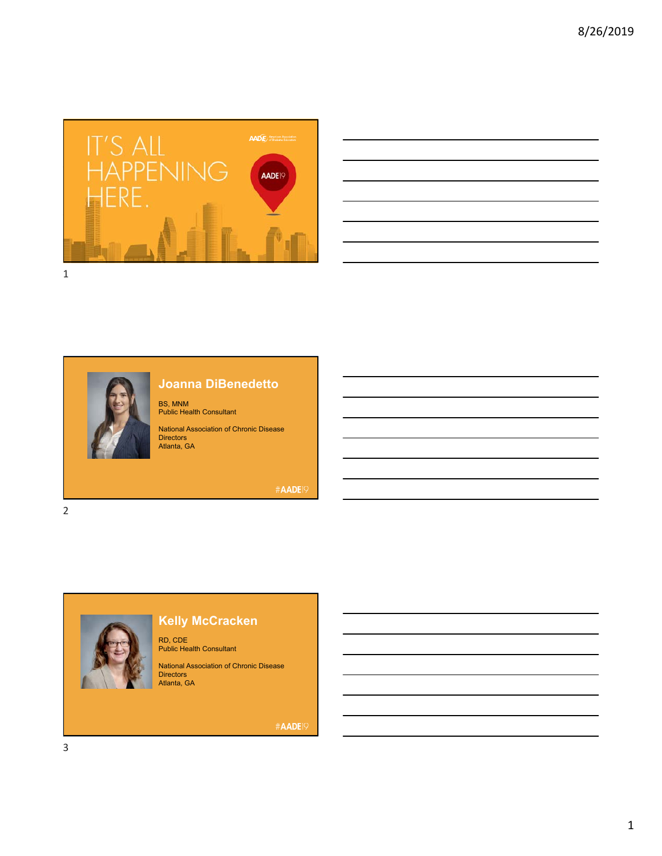

| <u> Alexandro de la contrada de la contrada de la contrada de la contrada de la contrada de la contrada de la co</u> |                                                                                                                                                                                                                               |
|----------------------------------------------------------------------------------------------------------------------|-------------------------------------------------------------------------------------------------------------------------------------------------------------------------------------------------------------------------------|
|                                                                                                                      | <u> Alexander de la contrada de la contrada de la contrada de la contrada de la contrada de la contrada de la con</u>                                                                                                         |
|                                                                                                                      | <u> Alexandro de la contrada de la contrada de la contrada de la contrada de la contrada de la contrada de la co</u>                                                                                                          |
|                                                                                                                      | <u> 1988 - Andrea Santa Andrea Santa Andrea Santa Andrea Santa Andrea Santa Andrea Santa Andrea Santa Andrea San</u>                                                                                                          |
|                                                                                                                      |                                                                                                                                                                                                                               |
|                                                                                                                      | the control of the control of the control of the control of the control of the control of the control of the control of the control of the control of the control of the control of the control of the control of the control |



# **Joanna DiBenedetto**

BS, MNM Public Health Consultant

National Association of Chronic Disease Directors Atlanta, GA

#AADE19

**Kelly McCracken**

RD, CDE Public Health Consultant

National Association of Chronic Disease Directors Atlanta, GA

#AADE<sup>19</sup>



3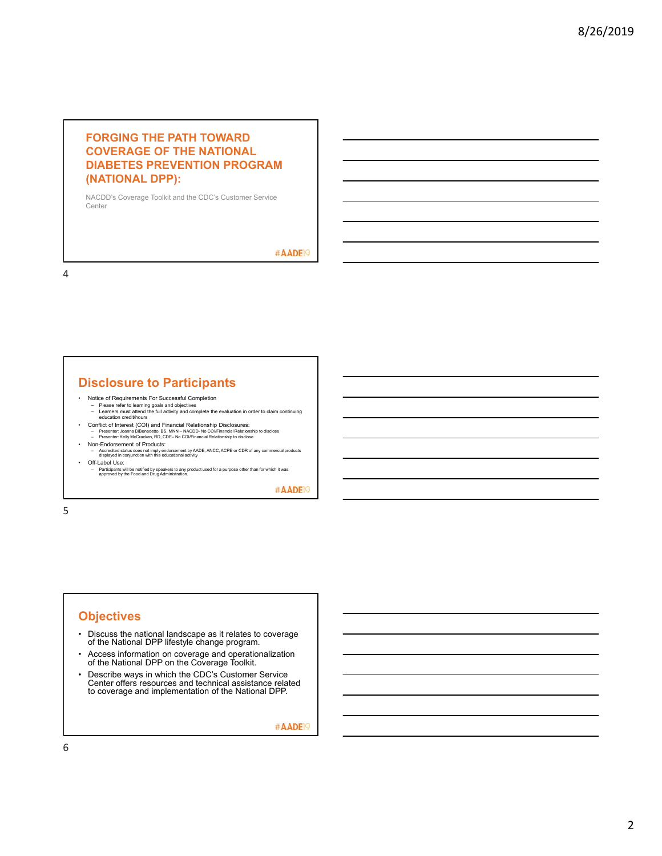#### **FORGING THE PATH TOWARD COVERAGE OF THE NATIONAL DIABETES PREVENTION PROGRAM (NATIONAL DPP):**

NACDD's Coverage Toolkit and the CDC's Customer Service Center

#AADE<sup>19</sup>

4

## **Disclosure to Participants**

- 
- Notice of Requirements For Successful Completion Please refer to learning goals and objectives Learners must attend the full activity and complete the evaluation in order to claim continuing education credit/hours
- Conflict of Interest (COI) and Financial Relationship Disclosures:<br>- Presenter: Joanna DiBenedetto, ISS, MNN NACDD- No COl/Financial Relationship to disclose<br>- Presenter: Kelly McCracken, RD, CDE– No COl/Financial Rel
- Non-Endorsement of Products: Accredited status does not imply endorsement by AADE, ANCC, ACPE or CDR of any commercial products displayed in conjunction with this educational activity
- Off-Label Use:
- Participants will be notified by speakers to any product used for a purpose other than for which it was approved by the Food and Drug Administration.

#AADE<sup>19</sup>

5

### **Objectives**

- Discuss the national landscape as it relates to coverage of the National DPP lifestyle change program.
- Access information on coverage and operationalization of the National DPP on the Coverage Toolkit.
- Describe ways in which the CDC's Customer Service Center offers resources and technical assistance related to coverage and implementation of the National DPP.

#AADE<sup>19</sup>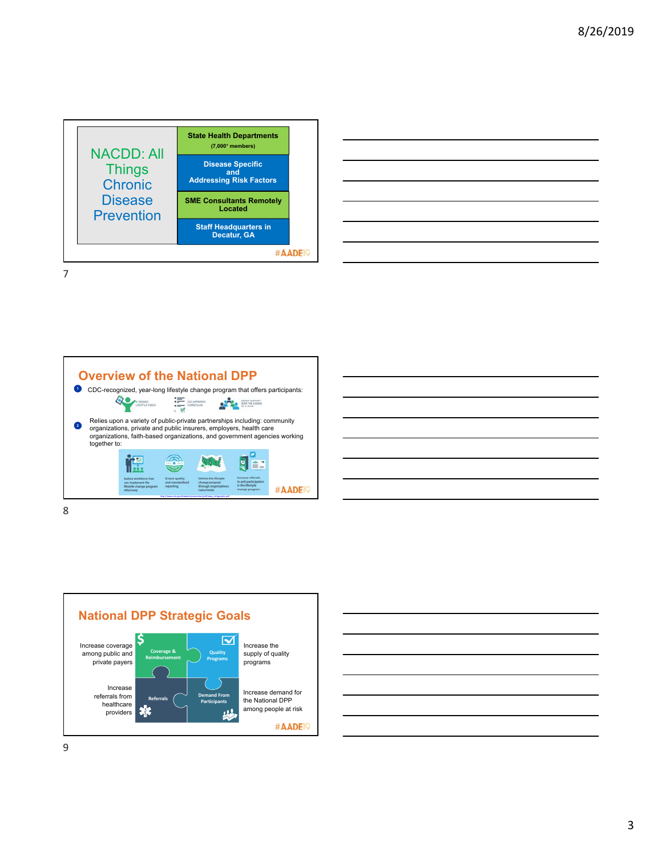

| <u> 1989 - Johann Stoff, deutscher Stoff, der Stoff, der Stoff, der Stoff, der Stoff, der Stoff, der Stoff, der S</u> |  |  |  |
|-----------------------------------------------------------------------------------------------------------------------|--|--|--|
|                                                                                                                       |  |  |  |
|                                                                                                                       |  |  |  |
|                                                                                                                       |  |  |  |
|                                                                                                                       |  |  |  |
|                                                                                                                       |  |  |  |
| <u> 1989 - Johann Stoff, amerikansk politiker (d. 1989)</u>                                                           |  |  |  |
|                                                                                                                       |  |  |  |







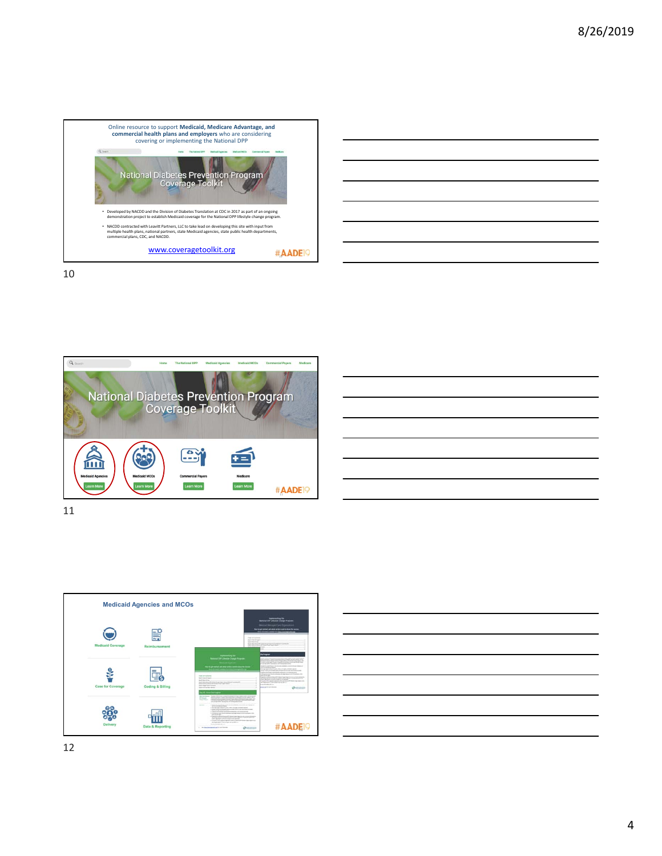



10







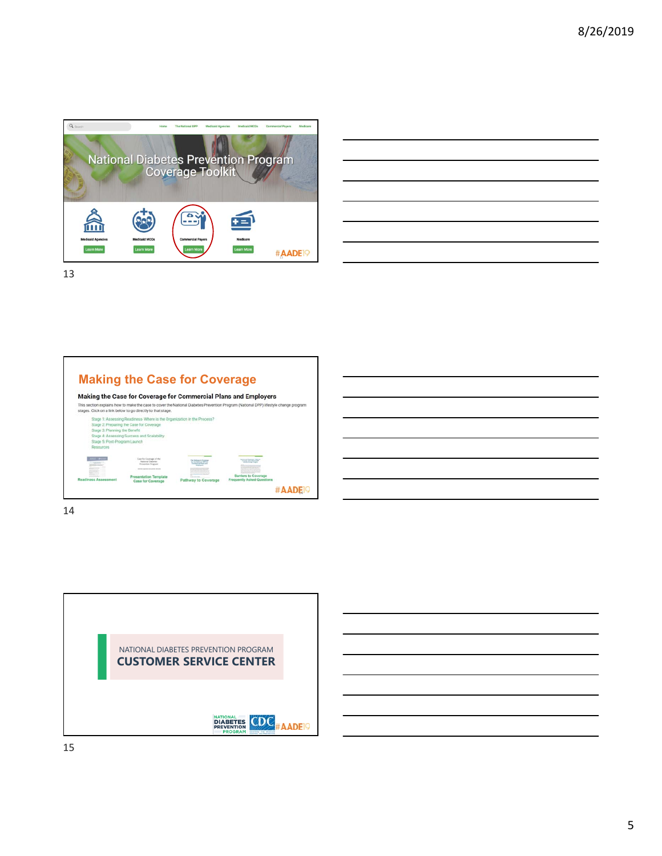

|                                                                                                                     | and the contract of the contract of the contract of the contract of the contract of the contract of the contract of |
|---------------------------------------------------------------------------------------------------------------------|---------------------------------------------------------------------------------------------------------------------|
|                                                                                                                     |                                                                                                                     |
| $\overline{\phantom{a}}$                                                                                            |                                                                                                                     |
| and the contract of the contract of the contract of the contract of the contract of the contract of the contract of | _____                                                                                                               |
|                                                                                                                     |                                                                                                                     |
|                                                                                                                     | ___                                                                                                                 |
|                                                                                                                     |                                                                                                                     |
|                                                                                                                     |                                                                                                                     |

### **Making the Case for Coverage**



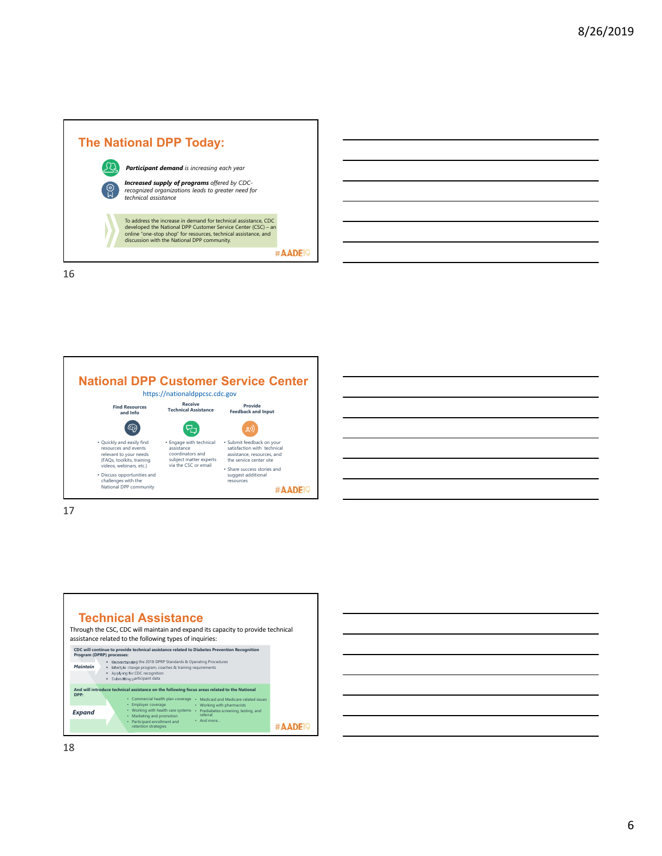



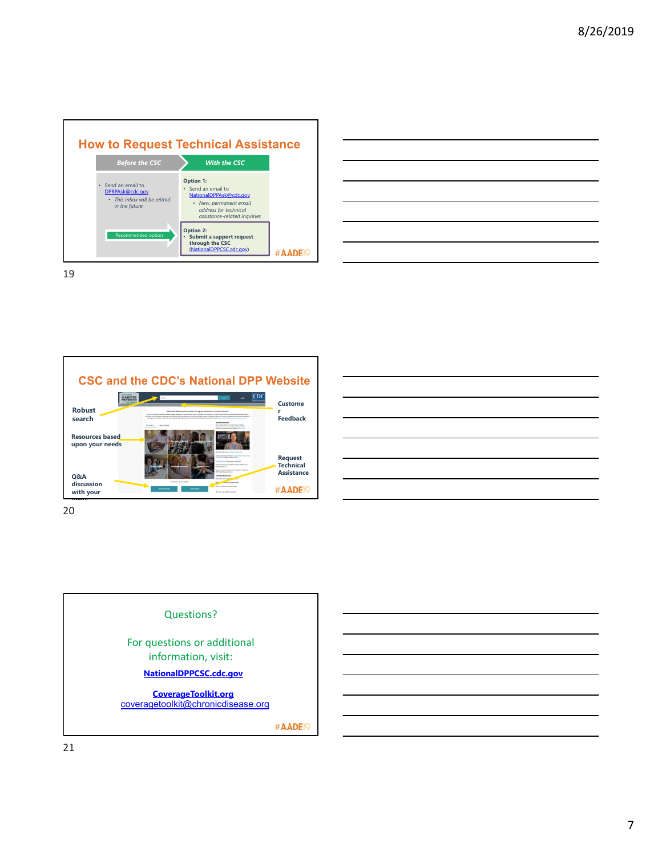